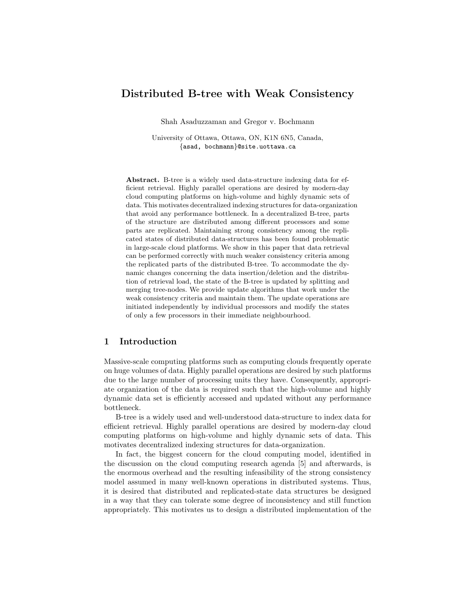# Distributed B-tree with Weak Consistency

Shah Asaduzzaman and Gregor v. Bochmann

University of Ottawa, Ottawa, ON, K1N 6N5, Canada, {asad, bochmann}@site.uottawa.ca

Abstract. B-tree is a widely used data-structure indexing data for efficient retrieval. Highly parallel operations are desired by modern-day cloud computing platforms on high-volume and highly dynamic sets of data. This motivates decentralized indexing structures for data-organization that avoid any performance bottleneck. In a decentralized B-tree, parts of the structure are distributed among different processors and some parts are replicated. Maintaining strong consistency among the replicated states of distributed data-structures has been found problematic in large-scale cloud platforms. We show in this paper that data retrieval can be performed correctly with much weaker consistency criteria among the replicated parts of the distributed B-tree. To accommodate the dynamic changes concerning the data insertion/deletion and the distribution of retrieval load, the state of the B-tree is updated by splitting and merging tree-nodes. We provide update algorithms that work under the weak consistency criteria and maintain them. The update operations are initiated independently by individual processors and modify the states of only a few processors in their immediate neighbourhood.

# 1 Introduction

Massive-scale computing platforms such as computing clouds frequently operate on huge volumes of data. Highly parallel operations are desired by such platforms due to the large number of processing units they have. Consequently, appropriate organization of the data is required such that the high-volume and highly dynamic data set is efficiently accessed and updated without any performance bottleneck.

B-tree is a widely used and well-understood data-structure to index data for efficient retrieval. Highly parallel operations are desired by modern-day cloud computing platforms on high-volume and highly dynamic sets of data. This motivates decentralized indexing structures for data-organization.

In fact, the biggest concern for the cloud computing model, identified in the discussion on the cloud computing research agenda [5] and afterwards, is the enormous overhead and the resulting infeasibility of the strong consistency model assumed in many well-known operations in distributed systems. Thus, it is desired that distributed and replicated-state data structures be designed in a way that they can tolerate some degree of inconsistency and still function appropriately. This motivates us to design a distributed implementation of the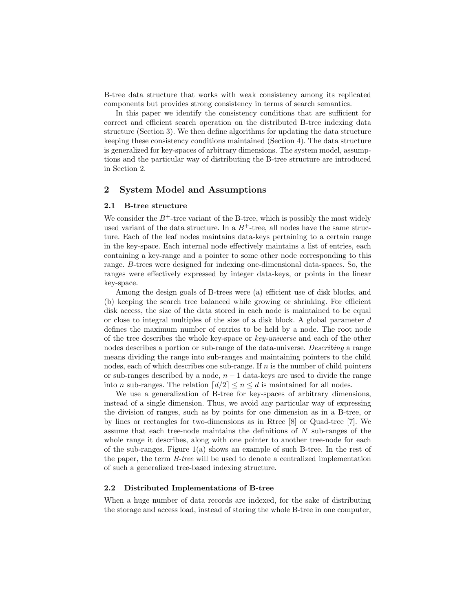B-tree data structure that works with weak consistency among its replicated components but provides strong consistency in terms of search semantics.

In this paper we identify the consistency conditions that are sufficient for correct and efficient search operation on the distributed B-tree indexing data structure (Section 3). We then define algorithms for updating the data structure keeping these consistency conditions maintained (Section 4). The data structure is generalized for key-spaces of arbitrary dimensions. The system model, assumptions and the particular way of distributing the B-tree structure are introduced in Section 2.

# 2 System Model and Assumptions

### 2.1 B-tree structure

We consider the  $B^+$ -tree variant of the B-tree, which is possibly the most widely used variant of the data structure. In a  $B^+$ -tree, all nodes have the same structure. Each of the leaf nodes maintains data-keys pertaining to a certain range in the key-space. Each internal node effectively maintains a list of entries, each containing a key-range and a pointer to some other node corresponding to this range. B-trees were designed for indexing one-dimensional data-spaces. So, the ranges were effectively expressed by integer data-keys, or points in the linear key-space.

Among the design goals of B-trees were (a) efficient use of disk blocks, and (b) keeping the search tree balanced while growing or shrinking. For efficient disk access, the size of the data stored in each node is maintained to be equal or close to integral multiples of the size of a disk block. A global parameter  $d$ defines the maximum number of entries to be held by a node. The root node of the tree describes the whole key-space or key-universe and each of the other nodes describes a portion or sub-range of the data-universe. Describing a range means dividing the range into sub-ranges and maintaining pointers to the child nodes, each of which describes one sub-range. If  $n$  is the number of child pointers or sub-ranges described by a node,  $n - 1$  data-keys are used to divide the range into *n* sub-ranges. The relation  $\lceil d/2 \rceil \leq n \leq d$  is maintained for all nodes.

We use a generalization of B-tree for key-spaces of arbitrary dimensions, instead of a single dimension. Thus, we avoid any particular way of expressing the division of ranges, such as by points for one dimension as in a B-tree, or by lines or rectangles for two-dimensions as in Rtree [8] or Quad-tree [7]. We assume that each tree-node maintains the definitions of  $N$  sub-ranges of the whole range it describes, along with one pointer to another tree-node for each of the sub-ranges. Figure  $1(a)$  shows an example of such B-tree. In the rest of the paper, the term B-tree will be used to denote a centralized implementation of such a generalized tree-based indexing structure.

### 2.2 Distributed Implementations of B-tree

When a huge number of data records are indexed, for the sake of distributing the storage and access load, instead of storing the whole B-tree in one computer,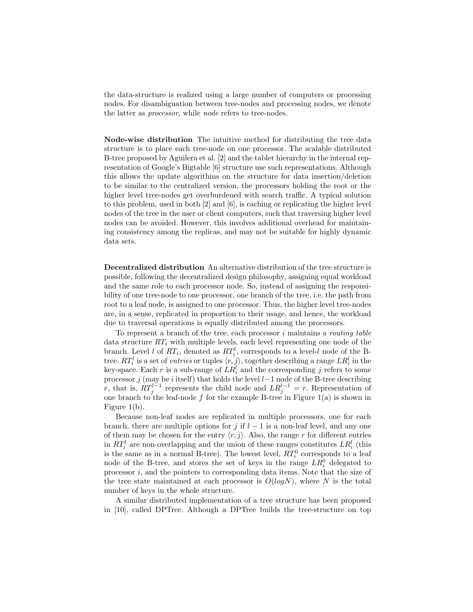the data-structure is realized using a large number of computers or processing nodes. For disambiguation between tree-nodes and processing nodes, we denote the latter as processor, while node refers to tree-nodes.

Node-wise distribution The intuitive method for distributing the tree data structure is to place each tree-node on one processor. The scalable distributed B-tree proposed by Aguilera et al. [2] and the tablet hierarchy in the internal representation of Google's Bigtable [6] structure use such representations. Although this allows the update algorithms on the structure for data insertion/deletion to be similar to the centralized version, the processors holding the root or the higher level tree-nodes get overburdened with search traffic. A typical solution to this problem, used in both [2] and [6], is caching or replicating the higher level nodes of the tree in the user or client computers, such that traversing higher level nodes can be avoided. However, this involves additional overhead for maintaining consistency among the replicas, and may not be suitable for highly dynamic data sets.

Decentralized distribution An alternative distribution of the tree structure is possible, following the decentralized design philosophy, assigning equal workload and the same role to each processor node. So, instead of assigning the responsibility of one tree-node to one processor, one branch of the tree, i.e. the path from root to a leaf node, is assigned to one processor. Thus, the higher level tree-nodes are, in a sense, replicated in proportion to their usage, and hence, the workload due to traversal operations is equally distributed among the processors.

To represent a branch of the tree, each processor  $i$  maintains a *routing table* data structure  $RT_i$  with multiple levels, each level representing one node of the branch. Level l of  $RT_i$ , denoted as  $RT_i^l$ , corresponds to a level-l node of the Btree.  $RT_i^l$  is a set of *entries* or tuples  $\langle r, j \rangle$ , together describing a range  $LR_i^l$  in the key-space. Each r is a sub-range of  $LR_i^l$  and the corresponding j refers to some processor j (may be i itself) that holds the level  $l-1$  node of the B-tree describing r, that is,  $RT_j^{l-1}$  represents the child node and  $LR_j^{l-1} = r$ . Representation of one branch to the leaf-node  $f$  for the example B-tree in Figure  $1(a)$  is shown in Figure 1(b).

Because non-leaf nodes are replicated in multiple processors, one for each branch, there are multiple options for j if  $l-1$  is a non-leaf level, and any one of them may be chosen for the entry  $\langle r, j \rangle$ . Also, the range r for different entries in  $RT_i^l$  are non-overlapping and the union of these ranges constitutes  $LR_i^l$  (this is the same as in a normal B-tree). The lowest level,  $RT_i^0$  corresponds to a leaf node of the B-tree, and stores the set of keys in the range  $LR_i^0$  delegated to processor  $i$ , and the pointers to corresponding data items. Note that the size of the tree state maintained at each processor is  $O(logN)$ , where N is the total number of keys in the whole structure.

A similar distributed implementation of a tree structure has been proposed in [10], called DPTree. Although a DPTree builds the tree-structure on top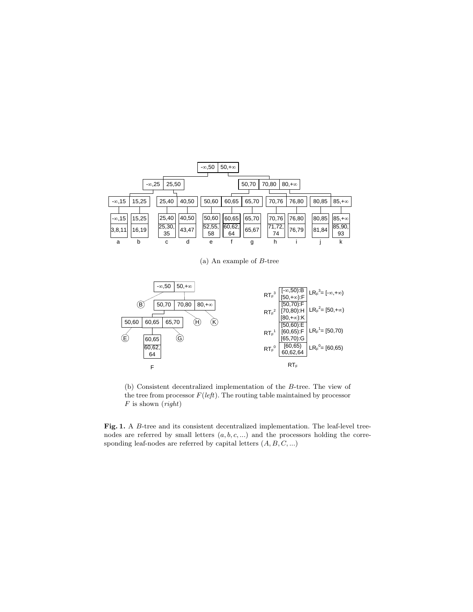

(a) An example of B-tree



(b) Consistent decentralized implementation of the B-tree. The view of the tree from processor  $F(left)$ . The routing table maintained by processor  $F$  is shown  $(right)$ 

Fig. 1. A B-tree and its consistent decentralized implementation. The leaf-level treenodes are referred by small letters  $(a, b, c, ...)$  and the processors holding the corresponding leaf-nodes are referred by capital letters  $(A, B, C, ...)$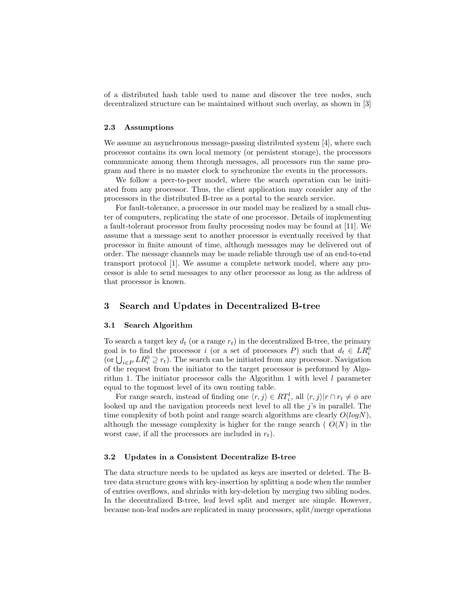of a distributed hash table used to name and discover the tree nodes, such decentralized structure can be maintained without such overlay, as shown in [3]

#### 2.3 Assumptions

We assume an asynchronous message-passing distributed system [4], where each processor contains its own local memory (or persistent storage), the processors communicate among them through messages, all processors run the same program and there is no master clock to synchronize the events in the processors.

We follow a peer-to-peer model, where the search operation can be initiated from any processor. Thus, the client application may consider any of the processors in the distributed B-tree as a portal to the search service.

For fault-tolerance, a processor in our model may be realized by a small cluster of computers, replicating the state of one processor. Details of implementing a fault-tolerant processor from faulty processing nodes may be found at [11]. We assume that a message sent to another processor is eventually received by that processor in finite amount of time, although messages may be delivered out of order. The message channels may be made reliable through use of an end-to-end transport protocol [1]. We assume a complete network model, where any processor is able to send messages to any other processor as long as the address of that processor is known.

## 3 Search and Updates in Decentralized B-tree

#### 3.1 Search Algorithm

To search a target key  $d_t$  (or a range  $r_t$ ) in the decentralized B-tree, the primary goal is to find the processor i (or a set of processors P) such that  $d_t \in LR_i^0$ (or  $\bigcup_{i\in P} LR_i^0 \supseteq r_t$ ). The search can be initiated from any processor. Navigation of the request from the initiator to the target processor is performed by Algorithm 1. The initiator processor calls the Algorithm 1 with level  $l$  parameter equal to the topmost level of its own routing table.

For range search, instead of finding one  $\langle r, j \rangle \in RT_i^l$ , all  $\langle r, j \rangle |r \cap r_t \neq \phi$  are looked up and the navigation proceeds next level to all the  $j$ 's in parallel. The time complexity of both point and range search algorithms are clearly  $O(logN)$ , although the message complexity is higher for the range search  $( O(N)$  in the worst case, if all the processors are included in  $r_t$ ).

#### 3.2 Updates in a Consistent Decentralize B-tree

The data structure needs to be updated as keys are inserted or deleted. The Btree data structure grows with key-insertion by splitting a node when the number of entries overflows, and shrinks with key-deletion by merging two sibling nodes. In the decentralized B-tree, leaf level split and merger are simple. However, because non-leaf nodes are replicated in many processors, split/merge operations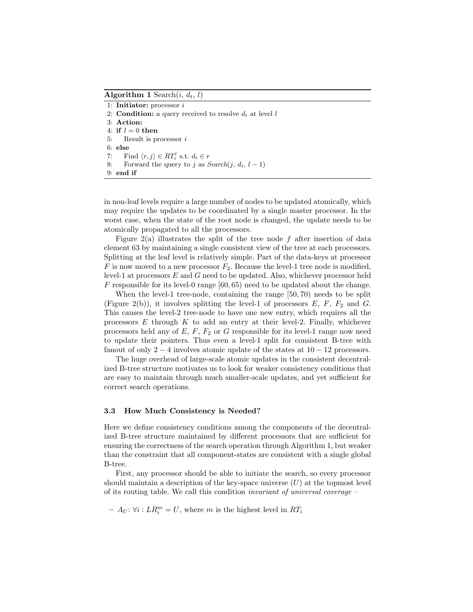Algorithm 1 Search $(i, d_t, l)$ 

1: **Initiator:** processor  $i$ 2: **Condition:** a query received to resolve  $d_t$  at level l 3: Action: 4: if  $l = 0$  then 5: Result is processor i 6: else 7: Find  $\langle r, j \rangle \in RT_i^l$  s.t.  $d_t \in r$ 8: Forward the query to j as  $Search(j, d_t, l - 1)$ 9: end if

in non-leaf levels require a large number of nodes to be updated atomically, which may require the updates to be coordinated by a single master processor. In the worst case, when the state of the root node is changed, the update needs to be atomically propagated to all the processors.

Figure 2(a) illustrates the split of the tree node  $f$  after insertion of data element 63 by maintaining a single consistent view of the tree at each processors. Splitting at the leaf level is relatively simple. Part of the data-keys at processor F is now moved to a new processor  $F_2$ . Because the level-1 tree node is modified, level-1 at processors E and G need to be updated. Also, whichever processor held F responsible for its level-0 range  $[60, 65)$  need to be updated about the change.

When the level-1 tree-node, containing the range  $[50, 70)$  needs to be split (Figure 2(b)), it involves splitting the level-1 of processors  $E, F, F_2$  and  $G$ . This causes the level-2 tree-node to have one new entry, which requires all the processors  $E$  through  $K$  to add an entry at their level-2. Finally, whichever processors held any of  $E, F, F_2$  or  $G$  responsible for its level-1 range now need to update their pointers. Thus even a level-1 split for consistent B-tree with fanout of only 2 − 4 involves atomic update of the states at  $10 - 12$  processors.

The huge overhead of large-scale atomic updates in the consistent decentralized B-tree structure motivates us to look for weaker consistency conditions that are easy to maintain through much smaller-scale updates, and yet sufficient for correct search operations.

#### 3.3 How Much Consistency is Needed?

Here we define consistency conditions among the components of the decentralized B-tree structure maintained by different processors that are sufficient for ensuring the correctness of the search operation through Algorithm 1, but weaker than the constraint that all component-states are consistent with a single global B-tree.

First, any processor should be able to initiate the search, so every processor should maintain a description of the key-space universe  $(U)$  at the topmost level of its routing table. We call this condition invariant of universal coverage –

 $- A_U$ : ∀*i* :  $LR_i^m = U$ , where m is the highest level in  $RT_i$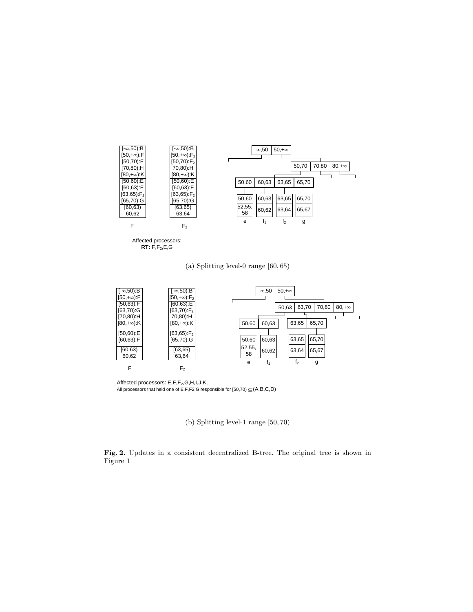

(a) Splitting level-0 range [60, 65)



Affected processors: E,F,F<sub>2</sub>,G,H,I,J,K, All processors that held one of E,F,F2,G responsible for  $[50,70) \subseteq (A,B,C,D)$ 

(b) Splitting level-1 range [50, 70)

Fig. 2. Updates in a consistent decentralized B-tree. The original tree is shown in Figure 1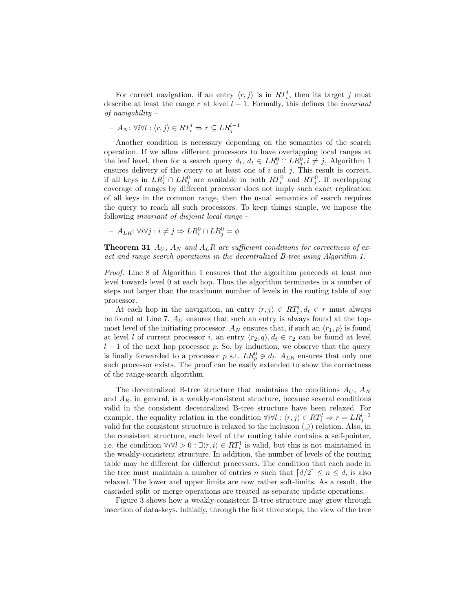For correct navigation, if an entry  $\langle r, j \rangle$  is in  $RT_i^l$ , then its target j must describe at least the range r at level  $l-1$ . Formally, this defines the *invariant* of navigability –

$$
- A_N : \forall i \forall l : \langle r, j \rangle \in RT_i^l \Rightarrow r \subseteq LR_j^{l-1}
$$

Another condition is necessary depending on the semantics of the search operation. If we allow different processors to have overlapping local ranges at the leaf level, then for a search query  $d_t$ ,  $d_t \in LR_i^0 \cap LR_j^0$ ,  $i \neq j$ , Algorithm 1 ensures delivery of the query to at least one of  $i$  and  $j$ . This result is correct, if all keys in  $LR_i^0 \cap LR_j^0$  are available in both  $RT_i^0$  and  $RT_j^0$ . If overlapping coverage of ranges by different processor does not imply such exact replication of all keys in the common range, then the usual semantics of search requires the query to reach all such processors. To keep things simple, we impose the following invariant of disjoint local range –

$$
- A_{LR}: \forall i \forall j : i \neq j \Rightarrow LR_i^0 \cap LR_j^0 = \phi
$$

**Theorem 31**  $A_U$ ,  $A_N$  and  $A_LR$  are sufficient conditions for correctness of exact and range search operations in the decentralized B-tree using Algorithm 1.

Proof. Line 8 of Algorithm 1 ensures that the algorithm proceeds at least one level towards level 0 at each hop. Thus the algorithm terminates in a number of steps not larger than the maximum number of levels in the routing table of any processor.

At each hop in the navigation, an entry  $\langle r, j \rangle \in RT_i^l, d_t \in r$  must always be found at Line 7.  $A_U$  ensures that such an entry is always found at the topmost level of the initiating processor.  $A_N$  ensures that, if such an  $\langle r_1, p \rangle$  is found at level l of current processor i, an entry  $\langle r_2, q \rangle, d_t \in r_2$  can be found at level  $l-1$  of the next hop processor p. So, by induction, we observe that the query is finally forwarded to a processor p s.t.  $LR_p^0 \ni d_t$ .  $A_{LR}$  ensures that only one such processor exists. The proof can be easily extended to show the correctness of the range-search algorithm.

The decentralized B-tree structure that maintains the conditions  $A_U$ ,  $A_N$ and  $A_R$ , in general, is a weakly-consistent structure, because several conditions valid in the consistent decentralized B-tree structure have been relaxed. For example, the equality relation in the condition  $\forall i \forall l : \langle r, j \rangle \in RT_i^l \Rightarrow r = LR_j^{l-1}$ valid for the consistent structure is relaxed to the inclusion  $(2)$  relation. Also, in the consistent structure, each level of the routing table contains a self-pointer, i.e. the condition  $\forall i \forall l > 0 : \exists \langle r, i \rangle \in RT_i^l$  is valid, but this is not maintained in the weakly-consistent structure. In addition, the number of levels of the routing table may be different for different processors. The condition that each node in the tree must maintain a number of entries n such that  $\lceil d/2 \rceil \leq n \leq d$ , is also relaxed. The lower and upper limits are now rather soft-limits. As a result, the cascaded split or merge operations are treated as separate update operations.

Figure 3 shows how a weakly-consistent B-tree structure may grow through insertion of data-keys. Initially, through the first three steps, the view of the tree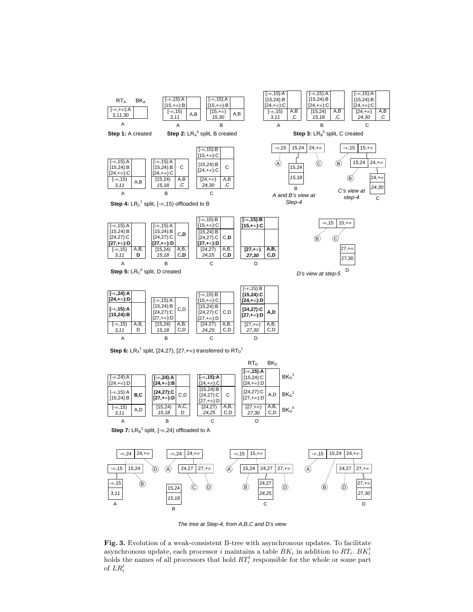

*The tree at Step-4, from A,B,C and D's view*

Fig. 3. Evolution of a weak-consistent B-tree with asynchronous updates. To facilitate asynchronous update, each processor  $i$  maintains a table  $BK_i$  in addition to  $RT_i$ .  $BK_i^l$ holds the names of all processors that hold  $RT_i^l$  responsible for the whole or some part of  $LR_i^l$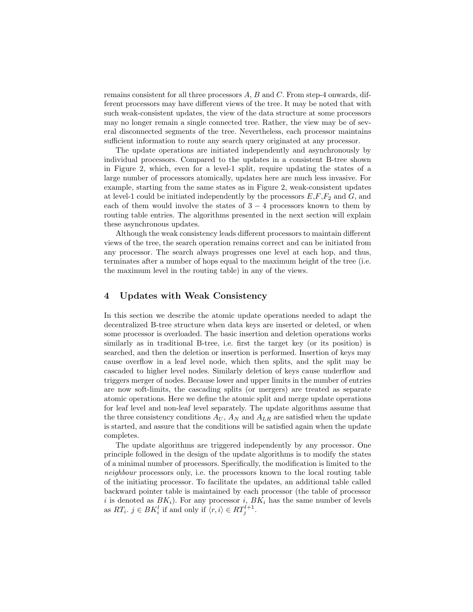remains consistent for all three processors  $A, B$  and  $C$ . From step-4 onwards, different processors may have different views of the tree. It may be noted that with such weak-consistent updates, the view of the data structure at some processors may no longer remain a single connected tree. Rather, the view may be of several disconnected segments of the tree. Nevertheless, each processor maintains sufficient information to route any search query originated at any processor.

The update operations are initiated independently and asynchronously by individual processors. Compared to the updates in a consistent B-tree shown in Figure 2, which, even for a level-1 split, require updating the states of a large number of processors atomically, updates here are much less invasive. For example, starting from the same states as in Figure 2, weak-consistent updates at level-1 could be initiated independently by the processors  $E, F, F_2$  and  $G$ , and each of them would involve the states of  $3 - 4$  processors known to them by routing table entries. The algorithms presented in the next section will explain these asynchronous updates.

Although the weak consistency leads different processors to maintain different views of the tree, the search operation remains correct and can be initiated from any processor. The search always progresses one level at each hop, and thus, terminates after a number of hops equal to the maximum height of the tree (i.e. the maximum level in the routing table) in any of the views.

### 4 Updates with Weak Consistency

In this section we describe the atomic update operations needed to adapt the decentralized B-tree structure when data keys are inserted or deleted, or when some processor is overloaded. The basic insertion and deletion operations works similarly as in traditional B-tree, i.e. first the target key (or its position) is searched, and then the deletion or insertion is performed. Insertion of keys may cause overflow in a leaf level node, which then splits, and the split may be cascaded to higher level nodes. Similarly deletion of keys cause underflow and triggers merger of nodes. Because lower and upper limits in the number of entries are now soft-limits, the cascading splits (or mergers) are treated as separate atomic operations. Here we define the atomic split and merge update operations for leaf level and non-leaf level separately. The update algorithms assume that the three consistency conditions  $A_U$ ,  $A_N$  and  $A_{LR}$  are satisfied when the update is started, and assure that the conditions will be satisfied again when the update completes.

The update algorithms are triggered independently by any processor. One principle followed in the design of the update algorithms is to modify the states of a minimal number of processors. Specifically, the modification is limited to the neighbour processors only, i.e. the processors known to the local routing table of the initiating processor. To facilitate the updates, an additional table called backward pointer table is maintained by each processor (the table of processor i is denoted as  $BK_i$ ). For any processor i,  $BK_i$  has the same number of levels as  $RT_i$ .  $j \in BK_i^l$  if and only if  $\langle r, i \rangle \in RT_j^{l+1}$ .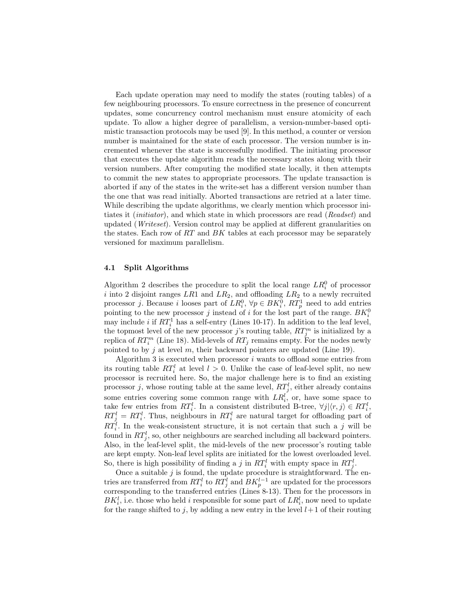Each update operation may need to modify the states (routing tables) of a few neighbouring processors. To ensure correctness in the presence of concurrent updates, some concurrency control mechanism must ensure atomicity of each update. To allow a higher degree of parallelism, a version-number-based optimistic transaction protocols may be used [9]. In this method, a counter or version number is maintained for the state of each processor. The version number is incremented whenever the state is successfully modified. The initiating processor that executes the update algorithm reads the necessary states along with their version numbers. After computing the modified state locally, it then attempts to commit the new states to appropriate processors. The update transaction is aborted if any of the states in the write-set has a different version number than the one that was read initially. Aborted transactions are retried at a later time. While describing the update algorithms, we clearly mention which processor initiates it *(initiator)*, and which state in which processors are read *(Readset)* and updated (Writeset). Version control may be applied at different granularities on the states. Each row of  $RT$  and  $BK$  tables at each processor may be separately versioned for maximum parallelism.

### 4.1 Split Algorithms

Algorithm 2 describes the procedure to split the local range  $LR_i^0$  of processor i into 2 disjoint ranges  $LR1$  and  $LR_2$ , and offloading  $LR_2$  to a newly recruited processor *j*. Because *i* looses part of  $LR_i^0$ ,  $\forall p \in BK_i^0$ ,  $RT_p^1$  need to add entries pointing to the new processor j instead of i for the lost part of the range.  $BK_i^0$ may include *i* if  $RT_i^1$  has a self-entry (Lines 10-17). In addition to the leaf level, the topmost level of the new processor *j*'s routing table,  $RT_j^m$  is initialized by a replica of  $RT_i^m$  (Line 18). Mid-levels of  $RT_j$  remains empty. For the nodes newly pointed to by j at level m, their backward pointers are updated (Line 19).

Algorithm 3 is executed when processor  $i$  wants to offload some entries from its routing table  $RT_i^l$  at level  $l > 0$ . Unlike the case of leaf-level split, no new processor is recruited here. So, the major challenge here is to find an existing processor j, whose routing table at the same level,  $RT_j^l$ , either already contains some entries covering some common range with  $LR_i^l$ , or, have some space to take few entries from  $RT_i^l$ . In a consistent distributed B-tree,  $\forall j | \langle r, j \rangle \in RT_i^l$ ,  $RT_j^l = RT_i^l$ . Thus, neighbours in  $RT_i^l$  are natural target for offloading part of  $RT_i^l$ . In the weak-consistent structure, it is not certain that such a j will be found in  $RT_j^l$ , so, other neighbours are searched including all backward pointers. Also, in the leaf-level split, the mid-levels of the new processor's routing table are kept empty. Non-leaf level splits are initiated for the lowest overloaded level. So, there is high possibility of finding a j in  $RT_i^l$  with empty space in  $RT_j^l$ .

Once a suitable  $j$  is found, the update procedure is straightforward. The entries are transferred from  $RT_i^l$  to  $RT_j^l$  and  $BK_p^{l-1}$  are updated for the processors corresponding to the transferred entries (Lines 8-13). Then for the processors in  $BK_i^l$ , i.e. those who held i responsible for some part of  $LR_i^l$ , now need to update for the range shifted to j, by adding a new entry in the level  $l+1$  of their routing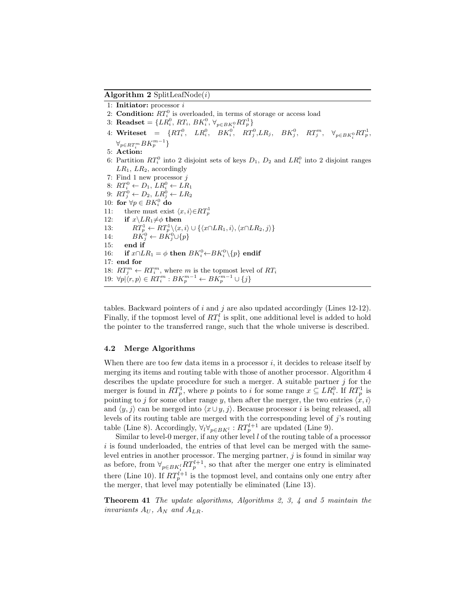Algorithm 2 SplitLeafNode $(i)$ 

- 1: **Initiator:** processor  $i$
- 2: **Condition:**  $RT_i^0$  is overloaded, in terms of storage or access load
- 3: Readset = { $LR_i^0$ ,  $RT_i$ ,  $BK_i^0$ ,  $\forall_{p \in BK_i^0} RT_p^1$ }
- $4: \textbf{Writeset} \quad = \quad \{ RT_i^0, \quad LR_i^0, \quad BK_i^0, \quad RT_j^0, LR_j, \quad BK_j^0, \quad RT_j^m, \quad \forall_{p \in BK_i^0} RT_p^1,$  $\forall_{p \in RT_i^m} BK_p^{m-1} \}$
- 5: Action:
- 6: Partition  $RT_i^0$  into 2 disjoint sets of keys  $D_1$ ,  $D_2$  and  $LR_i^0$  into 2 disjoint ranges  $LR_1, LR_2, \text{accordingly}$
- 7: Find 1 new processor  $j$ 8:  $RT_i^0 \leftarrow D_1, LR_i^0 \leftarrow LR_1$ 9:  $RT_j^0 \leftarrow D_2$ ,  $LR_j^0 \leftarrow LR_2$ 10: for  $\forall p \in BK^0_i$  do 11: there must exist  $\langle x, i \rangle \in RT_p^1$ 12: if  $x\Delta R_1 \neq \phi$  then 13:  $RT_p^1 \leftarrow RT_p^1 \langle x, i \rangle \cup \{ \langle x \cap LR_1, i \rangle, \langle x \cap LR_2, j \rangle \}$ 14:  $BK_j^0 \leftarrow BK_j^0 \cup \{p\}$ 15: end if 16: if  $x \cap LR_1 = \phi$  then  $BK_i^0 \leftarrow BK_i^0 \setminus \{p\}$  endif 17: end for
- 18:  $RT_j^m \leftarrow RT_i^m$ , where m is the topmost level of  $RT_i$ 19:  $\forall p|\langle r,p\rangle \in RT_i^m : BK_p^{m-1} \leftarrow BK_p^{m-1} \cup \{j\}$

tables. Backward pointers of  $i$  and  $j$  are also updated accordingly (Lines 12-12). Finally, if the topmost level of  $RT_i^l$  is split, one additional level is added to hold the pointer to the transferred range, such that the whole universe is described.

### 4.2 Merge Algorithms

When there are too few data items in a processor  $i$ , it decides to release itself by merging its items and routing table with those of another processor. Algorithm 4 describes the update procedure for such a merger. A suitable partner  $j$  for the merger is found in  $RT_p^1$ , where p points to i for some range  $x \subseteq LR_i^0$ . If  $RT_p^1$  is pointing to j for some other range y, then after the merger, the two entries  $\langle x, i \rangle$ and  $\langle y, j \rangle$  can be merged into  $\langle x \cup y, j \rangle$ . Because processor *i* is being released, all levels of its routing table are merged with the corresponding level of  $j$ 's routing table (Line 8). Accordingly,  $\forall_l \forall_{p \in BK^l_i} : RT^{l+1}_p$  are updated (Line 9).

Similar to level-0 merger, if any other level l of the routing table of a processor i is found underloaded, the entries of that level can be merged with the samelevel entries in another processor. The merging partner,  $j$  is found in similar way as before, from  $\forall_{p\in BK_i^l} RT_p^{l+1}$ , so that after the merger one entry is eliminated there (Line 10). If  $RT_p^{l+1}$  is the topmost level, and contains only one entry after the merger, that level may potentially be eliminated (Line 13).

Theorem 41 The update algorithms, Algorithms 2, 3, 4 and 5 maintain the invariants  $A_U$ ,  $A_N$  and  $A_{LR}$ .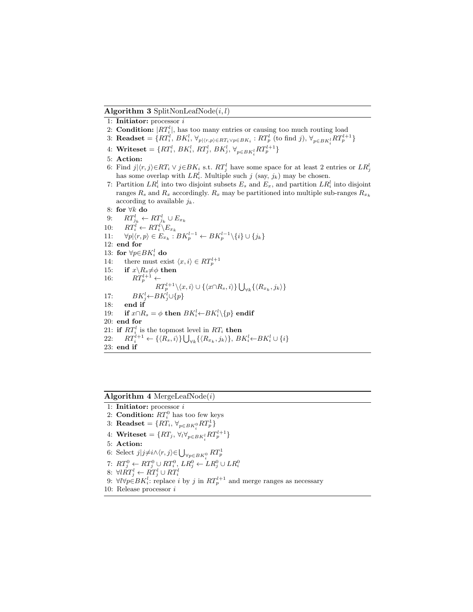Algorithm 3 SplitNonLeafNode $(i, l)$ 

- 1: Initiator: processor i
- 2: **Condition:**  $|RT_i^l|$ , has too many entries or causing too much routing load
- 3: **Readset** =  $\{RT_i^l, BK_i^l, \forall_{p|\langle r,p\rangle \in RT_i \vee p \in BK_i} : RT_p^l \text{ (to find } j), \forall_{p \in BK_i^l} RT_p^{l+1}\}$
- 4: Writeset = { $RT_i^l$ ,  $BK_i^l$ ,  $RT_j^l$ ,  $BK_j^l$ ,  $\forall_{p \in BK_i^l} RT_p^{l+1}$ }
- 5: Action:
- 6: Find  $j|\langle r, j\rangle \in RT_i \vee j \in BK_i$  s.t.  $RT_j^l$  have some space for at least 2 entries or  $LR_j^l$ has some overlap with  $LR_i^l$ . Multiple such j (say,  $j_k$ ) may be chosen.
- 7: Partition  $LR_i^l$  into two disjoint subsets  $E_s$  and  $E_x$ , and partition  $LR_i^l$  into disjoint ranges  $R_s$  and  $R_x$  accordingly.  $R_x$  may be partitioned into multiple sub-ranges  $R_{x_k}$ according to available  $j_k$ .
- 8: for  $\forall k$  do

9:  $RT_{j_k}^l \leftarrow RT_{j_k}^l \cup E_{x_k}$ 10:  $RT_i^l \leftarrow RT_i^l \backslash E_{x_k}$ 11:  $\forall p|\langle r,p\rangle \in E_{x_k} : BK_p^{l-1} \leftarrow BK_p^{l-1}\setminus \{i\} \cup \{j_k\}$ 12: end for 13: for  $\forall p \in BK_i^l$  do 14: there must exist  $\langle x, i \rangle \in RT_p^{l+1}$ 15: if  $x \backslash R_s \neq \phi$  then 16:  $RT_p^{l+1} \leftarrow$  $RT^{l+1}_{p}\backslash\langle x,i\rangle\cup\{\langle x\cap R_{s},i\rangle\}\bigcup_{\forall k}\{\langle R_{x_k},j_k\rangle\}$ 17:  $BK_j^l \leftarrow BK_j^l \cup \{p\}$ 18: end if 19: if  $x \cap R_s = \phi$  then  $BK_i^l \leftarrow BK_i^l \setminus \{p\}$  endif 20: end for 21: if  $RT_i^l$  is the topmost level in  $RT_i$  then 22:  $RT_i^{l+1} \leftarrow \{\langle R_s, i \rangle\} \bigcup_{\forall k} \{\langle R_{x_k}, j_k \rangle\}, BK_i^l \leftarrow BK_i^l \cup \{i\}$ 23: end if

# Algorithm 4 MergeLeafNode $(i)$

- 1: Initiator: processor  $i$
- 2: **Condition:**  $RT_i^0$  has too few keys
- 3: Readset =  $\{RT_i, \forall_{p \in BK_i^0} RT_p^1\}$
- 4: Writeset =  $\{RT_j, \forall i \forall_{p \in BK_i^l} RT_p^{l+1}\}$
- 5: Action:
- 6: Select  $j|j\neq i \wedge \langle r, j \rangle \in \bigcup_{\forall p \in BK_1^0} RT_p^1$
- 7:  $RT_j^0 \leftarrow RT_j^0 \cup RT_i^0$ ,  $LR_j^0 \leftarrow LR_j^0 \cup LR_i^0$ <br>8:  $\forall lRT_j^l \leftarrow RT_j^l \cup RT_i^l$
- 
- 9: ∀l∀p∈ $BK_i^l$ : replace i by j in  $RT_p^{l+1}$  and merge ranges as necessary
- 10: Release processor i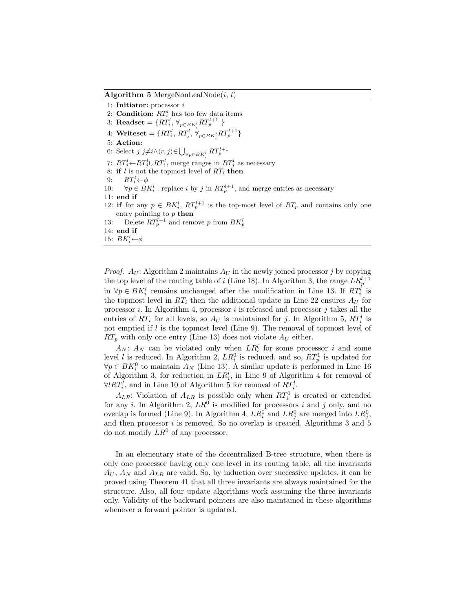Algorithm 5 MergeNonLeafNode $(i, l)$ 

```
1: Initiator: processor i2: Condition: RT_i^l has too few data items
 3: Readset = \{RT_i^l, \forall_{p \in BK_i^l} RT_p^{l+1} \}4: Writeset = \{RT_i^l, RT_j^l, \forall_{p \in BK_i^l} RT_p^{l+1}\}5: Action:
 6: Select j|j\neq i \wedge \langle r, j \rangle \in \bigcup_{\forall p \in BK_i^l} RT_p^{l+1}7: RT_j^l\leftarrowRT_j^l\cup RT_i^l, merge ranges in RT_j^l as necessary
 8: if l is not the topmost level of RT_i then
 9: RT_i^l \leftarrow \phi10: \forall p \in BK_i^l : \text{replace } i \text{ by } j \text{ in } RT_p^{l+1}, \text{ and merge entries as necessary}11: end if
12: if for any p \in BK_i^l, RT_p^{l+1} is the top-most level of RT_p and contains only one
     entry pointing to p then
13: Delete RT_p^{l+1} and remove p from BK_p^l14: end if
15: BK_i^l \leftarrow \phi
```
*Proof.*  $A_U$ : Algorithm 2 maintains  $A_U$  in the newly joined processor j by copying the top level of the routing table of i (Line 18). In Algorithm 3, the range  $LR_p^{l+1}$ in  $\forall p \in BK_i^l$  remains unchanged after the modification in Line 13. If  $RT_i^l$  is the topmost level in  $RT_i$  then the additional update in Line 22 ensures  $A_U$  for processor i. In Algorithm 4, processor i is released and processor j takes all the entries of  $RT_i$  for all levels, so  $A_U$  is maintained for j. In Algorithm 5,  $RT_i^l$  is not emptied if l is the topmost level (Line 9). The removal of topmost level of  $RT_p$  with only one entry (Line 13) does not violate  $A_U$  either.

 $A_N$ :  $A_N$  can be violated only when  $LR_i^l$  for some processor i and some level l is reduced. In Algorithm 2,  $LR_i^0$  is reduced, and so,  $RT_p^1$  is updated for  $\forall p \in BK_i^0$  to maintain  $A_N$  (Line 13). A similar update is performed in Line 16 of Algorithm 3, for reduction in  $LR_i^l$ , in Line 9 of Algorithm 4 for removal of  $\forall lRT_i^l$ , and in Line 10 of Algorithm 5 for removal of  $RT_i^l$ .

 $A_{LR}$ : Violation of  $A_{LR}$  is possible only when  $RT_i^0$  is created or extended for any *i*. In Algorithm 2,  $LR^0$  is modified for processors *i* and *j* only, and no overlap is formed (Line 9). In Algorithm 4,  $LR_i^0$  and  $LR_j^0$  are merged into  $LR_j^0$ , and then processor  $i$  is removed. So no overlap is created. Algorithms 3 and  $5$ do not modify  $LR^0$  of any processor.

In an elementary state of the decentralized B-tree structure, when there is only one processor having only one level in its routing table, all the invariants  $A_U$ ,  $A_N$  and  $A_{LR}$  are valid. So, by induction over successive updates, it can be proved using Theorem 41 that all three invariants are always maintained for the structure. Also, all four update algorithms work assuming the three invariants only. Validity of the backward pointers are also maintained in these algorithms whenever a forward pointer is updated.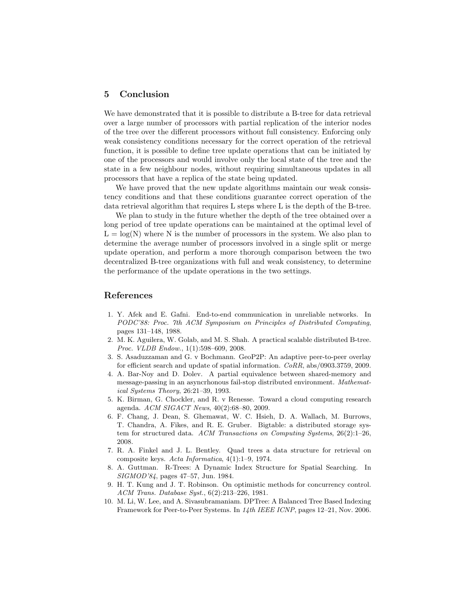# 5 Conclusion

We have demonstrated that it is possible to distribute a B-tree for data retrieval over a large number of processors with partial replication of the interior nodes of the tree over the different processors without full consistency. Enforcing only weak consistency conditions necessary for the correct operation of the retrieval function, it is possible to define tree update operations that can be initiated by one of the processors and would involve only the local state of the tree and the state in a few neighbour nodes, without requiring simultaneous updates in all processors that have a replica of the state being updated.

We have proved that the new update algorithms maintain our weak consistency conditions and that these conditions guarantee correct operation of the data retrieval algorithm that requires L steps where L is the depth of the B-tree.

We plan to study in the future whether the depth of the tree obtained over a long period of tree update operations can be maintained at the optimal level of  $L = log(N)$  where N is the number of processors in the system. We also plan to determine the average number of processors involved in a single split or merge update operation, and perform a more thorough comparison between the two decentralized B-tree organizations with full and weak consistency, to determine the performance of the update operations in the two settings.

# References

- 1. Y. Afek and E. Gafni. End-to-end communication in unreliable networks. In PODC'88: Proc. 7th ACM Symposium on Principles of Distributed Computing, pages 131–148, 1988.
- 2. M. K. Aguilera, W. Golab, and M. S. Shah. A practical scalable distributed B-tree. Proc. VLDB Endow., 1(1):598–609, 2008.
- 3. S. Asaduzzaman and G. v Bochmann. GeoP2P: An adaptive peer-to-peer overlay for efficient search and update of spatial information. CoRR, abs/0903.3759, 2009.
- 4. A. Bar-Noy and D. Dolev. A partial equivalence between shared-memory and message-passing in an asyncrhonous fail-stop distributed environment. Mathematical Systems Theory, 26:21–39, 1993.
- 5. K. Birman, G. Chockler, and R. v Renesse. Toward a cloud computing research agenda. ACM SIGACT News, 40(2):68–80, 2009.
- 6. F. Chang, J. Dean, S. Ghemawat, W. C. Hsieh, D. A. Wallach, M. Burrows, T. Chandra, A. Fikes, and R. E. Gruber. Bigtable: a distributed storage system for structured data. ACM Transactions on Computing Systems, 26(2):1–26, 2008.
- 7. R. A. Finkel and J. L. Bentley. Quad trees a data structure for retrieval on composite keys. Acta Informatica, 4(1):1–9, 1974.
- 8. A. Guttman. R-Trees: A Dynamic Index Structure for Spatial Searching. In SIGMOD'84, pages 47–57, Jun. 1984.
- 9. H. T. Kung and J. T. Robinson. On optimistic methods for concurrency control. ACM Trans. Database Syst., 6(2):213–226, 1981.
- 10. M. Li, W. Lee, and A. Sivasubramaniam. DPTree: A Balanced Tree Based Indexing Framework for Peer-to-Peer Systems. In 14th IEEE ICNP, pages 12-21, Nov. 2006.